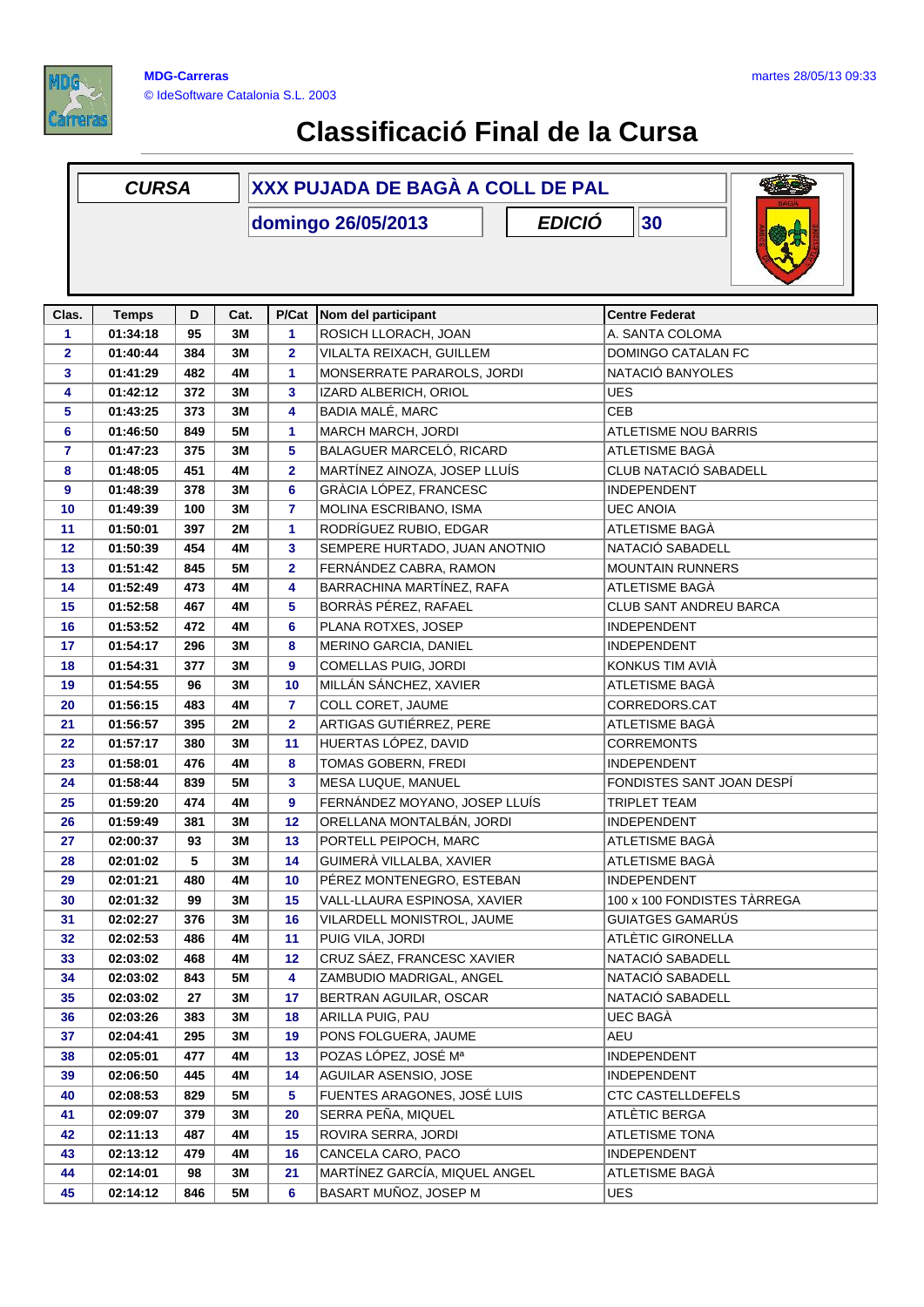

## **Classificació Final de la Cursa**

|                | <b>CURSA</b>                              |     |           | XXX PUJADA DE BAGÀ A COLL DE PAL |                               |                             |  |  |  |  |
|----------------|-------------------------------------------|-----|-----------|----------------------------------|-------------------------------|-----------------------------|--|--|--|--|
|                | 30<br><b>EDICIÓ</b><br>domingo 26/05/2013 |     |           |                                  |                               |                             |  |  |  |  |
| Clas.          | <b>Temps</b>                              | D   | Cat.      | P/Cat                            | Nom del participant           | <b>Centre Federat</b>       |  |  |  |  |
| 1              | 01:34:18                                  | 95  | 3M        | 1                                | ROSICH LLORACH, JOAN          | A. SANTA COLOMA             |  |  |  |  |
| $\mathbf{2}$   | 01:40:44                                  | 384 | ЗM        | 2                                | VILALTA REIXACH, GUILLEM      | DOMINGO CATALAN FC          |  |  |  |  |
| 3              | 01:41:29                                  | 482 | 4M        | 1                                | MONSERRATE PARAROLS, JORDI    | NATACIÓ BANYOLES            |  |  |  |  |
| 4              | 01:42:12                                  | 372 | 3M        | 3                                | IZARD ALBERICH, ORIOL         | <b>UES</b>                  |  |  |  |  |
| 5              | 01:43:25                                  | 373 | 3M        | 4                                | BADIA MALÉ, MARC              | <b>CEB</b>                  |  |  |  |  |
| 6              | 01:46:50                                  | 849 | <b>5M</b> | 1                                | MARCH MARCH, JORDI            | <b>ATLETISME NOU BARRIS</b> |  |  |  |  |
| $\overline{7}$ | 01:47:23                                  | 375 | 3M        | 5                                | BALAGUER MARCELÓ, RICARD      | ATLETISME BAGÀ              |  |  |  |  |
| 8              | 01:48:05                                  | 451 | 4M        | $\mathbf 2$                      | MARTÍNEZ AINOZA, JOSEP LLUÍS  | CLUB NATACIÓ SABADELL       |  |  |  |  |
| 9              | 01:48:39                                  | 378 | 3M        | 6                                | GRÀCIA LÓPEZ, FRANCESC        | <b>INDEPENDENT</b>          |  |  |  |  |
| 10             | 01:49:39                                  | 100 | 3M        | 7                                | MOLINA ESCRIBANO, ISMA        | <b>UEC ANOIA</b>            |  |  |  |  |
| 11             | 01:50:01                                  | 397 | 2M        | 1                                | RODRÍGUEZ RUBIO, EDGAR        | ATLETISME BAGÀ              |  |  |  |  |
| 12             | 01:50:39                                  | 454 | 4M        | 3                                | SEMPERE HURTADO, JUAN ANOTNIO | NATACIÓ SABADELL            |  |  |  |  |
| 13             | 01:51:42                                  | 845 | <b>5M</b> | $\overline{\mathbf{2}}$          | FERNÁNDEZ CABRA, RAMON        | <b>MOUNTAIN RUNNERS</b>     |  |  |  |  |
| 14             | 01:52:49                                  | 473 | 4M        | 4                                | BARRACHINA MARTÍNEZ, RAFA     | ATLETISME BAGÀ              |  |  |  |  |
| 15             | 01:52:58                                  | 467 | 4M        | 5                                | BORRÀS PÉREZ, RAFAEL          | CLUB SANT ANDREU BARCA      |  |  |  |  |
| 16             | 01:53:52                                  | 472 | 4M        | 6                                | PLANA ROTXES, JOSEP           | <b>INDEPENDENT</b>          |  |  |  |  |
| 17             | 01:54:17                                  | 296 | 3M        | 8                                | MERINO GARCIA, DANIEL         | <b>INDEPENDENT</b>          |  |  |  |  |
| 18             | 01:54:31                                  | 377 | 3M        | 9                                | COMELLAS PUIG, JORDI          | KONKUS TIM AVIÀ             |  |  |  |  |
| 19             | 01:54:55                                  | 96  | 3M        | 10                               | MILLÁN SÁNCHEZ, XAVIER        | ATLETISME BAGÀ              |  |  |  |  |
| 20             | 01:56:15                                  | 483 | 4M        | 7                                | COLL CORET, JAUME             | CORREDORS.CAT               |  |  |  |  |
| 21             | 01:56:57                                  | 395 | <b>2M</b> | $\mathbf{2}$                     | ARTIGAS GUTIÉRREZ, PERE       | ATLETISME BAGÀ              |  |  |  |  |
| 22             | 01:57:17                                  | 380 | 3M        | 11                               | HUERTAS LÓPEZ, DAVID          | <b>CORREMONTS</b>           |  |  |  |  |
| 23             | 01:58:01                                  | 476 | 4M        | 8                                | TOMAS GOBERN, FREDI           | <b>INDEPENDENT</b>          |  |  |  |  |
| 24             | 01:58:44                                  | 839 | 5M        | 3                                | MESA LUQUE, MANUEL            | FONDISTES SANT JOAN DESPÍ   |  |  |  |  |
| 25             | 01:59:20                                  | 474 | 4M        | 9                                | FERNÁNDEZ MOYANO, JOSEP LLUÍS | TRIPLET TEAM                |  |  |  |  |
| 26             | 01:59:49                                  | 381 | 3M        | 12                               | ORELLANA MONTALBÁN, JORDI     | <b>INDEPENDENT</b>          |  |  |  |  |
| 27             | 02:00:37                                  | 93  | 3M        | 13                               | PORTELL PEIPOCH, MARC         | ATLETISME BAGÀ              |  |  |  |  |
| 28             | 02:01:02                                  | 5   | 3M        | 14                               | GUIMERA VILLALBA, XAVIER      | ATLETISME BAGA              |  |  |  |  |
| 29             | 02:01:21                                  | 480 | 4M        | 10                               | PÉREZ MONTENEGRO, ESTEBAN     | <b>INDEPENDENT</b>          |  |  |  |  |
| 30             | 02:01:32                                  | 99  | 3M        | 15                               | VALL-LLAURA ESPINOSA, XAVIER  | 100 x 100 FONDISTES TÀRREGA |  |  |  |  |
| 31             | 02:02:27                                  | 376 | 3M        | 16                               | VILARDELL MONISTROL, JAUME    | GUIATGES GAMARÚS            |  |  |  |  |
| 32             | 02:02:53                                  | 486 | 4M        | 11                               | PUIG VILA, JORDI              | ATLÈTIC GIRONELLA           |  |  |  |  |
| 33             | 02:03:02                                  | 468 | 4M        | 12                               | CRUZ SÁEZ, FRANCESC XAVIER    | NATACIÓ SABADELL            |  |  |  |  |
| 34             | 02:03:02                                  | 843 | 5M        | 4                                | ZAMBUDIO MADRIGAL, ANGEL      | NATACIÓ SABADELL            |  |  |  |  |
| 35             | 02:03:02                                  | 27  | 3M        | 17                               | BERTRAN AGUILAR, OSCAR        | NATACIÓ SABADELL            |  |  |  |  |
| 36             | 02:03:26                                  | 383 | 3M        | 18                               | ARILLA PUIG, PAU              | UEC BAGÀ                    |  |  |  |  |
| 37             | 02:04:41                                  | 295 | 3M        | 19                               | PONS FOLGUERA, JAUME          | AEU                         |  |  |  |  |
| 38             | 02:05:01                                  | 477 | 4M        | 13                               | POZAS LÓPEZ, JOSÉ Mª          | <b>INDEPENDENT</b>          |  |  |  |  |
| 39             | 02:06:50                                  | 445 | 4M        | 14                               | AGUILAR ASENSIO, JOSE         | <b>INDEPENDENT</b>          |  |  |  |  |
| 40             | 02:08:53                                  | 829 | 5M        | 5                                | FUENTES ARAGONES, JOSÉ LUIS   | CTC CASTELLDEFELS           |  |  |  |  |
| 41             | 02:09:07                                  | 379 | 3M        | 20                               | SERRA PEÑA, MIQUEL            | ATLÈTIC BERGA               |  |  |  |  |
| 42             | 02:11:13                                  | 487 | 4M        | 15                               | ROVIRA SERRA, JORDI           | <b>ATLETISME TONA</b>       |  |  |  |  |
| 43             | 02:13:12                                  | 479 | 4M        | 16                               | CANCELA CARO, PACO            | <b>INDEPENDENT</b>          |  |  |  |  |
| 44             | 02:14:01                                  | 98  | 3M        | 21                               | MARTÍNEZ GARCÍA, MIQUEL ANGEL | ATLETISME BAGÀ              |  |  |  |  |
| 45             | 02:14:12                                  | 846 | <b>5M</b> | 6                                | BASART MUÑOZ, JOSEP M         | UES                         |  |  |  |  |